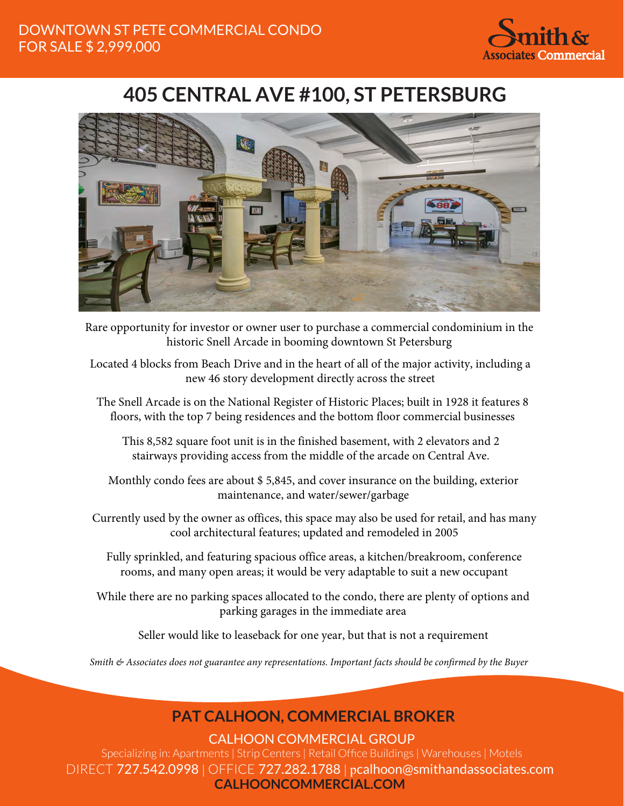

## **405 CENTRAL AVE #100, ST PETERSBURG**



Rare opportunity for investor or owner user to purchase a commercial condominium in the historic Snell Arcade in booming downtown St Petersburg

Located 4 blocks from Beach Drive and in the heart of all of the major activity, including a new 46 story development directly across the street

The Snell Arcade is on the National Register of Historic Places; built in 1928 it features 8 floors, with the top 7 being residences and the bottom floor commercial businesses

This 8,582 square foot unit is in the finished basement, with 2 elevators and 2 stairways providing access from the middle of the arcade on Central Ave.

Monthly condo fees are about \$ 5,845, and cover insurance on the building, exterior maintenance, and water/sewer/garbage

Currently used by the owner as offices, this space may also be used for retail, and has many cool architectural features; updated and remodeled in 2005

Fully sprinkled, and featuring spacious office areas, a kitchen/breakroom, conference rooms, and many open areas; it would be very adaptable to suit a new occupant

While there are no parking spaces allocated to the condo, there are plenty of options and parking garages in the immediate area

Seller would like to leaseback for one year, but that is not a requirement

*Smith & Associates does not guarantee any representations. Important facts should be confirmed by the Buyer*

## **PAT CALHOON, COMMERCIAL BROKER**

CALHOON COMMERCIAL GROUP

Specializing in: Apartments | Strip Centers | Retail Office Buildings | Warehouses | Motels DIRECT 727.542.0998 | OFFICE 727.282.1788 | pcalhoon@smithandassociates.com **CALHOONCOMMERCIAL.COM**